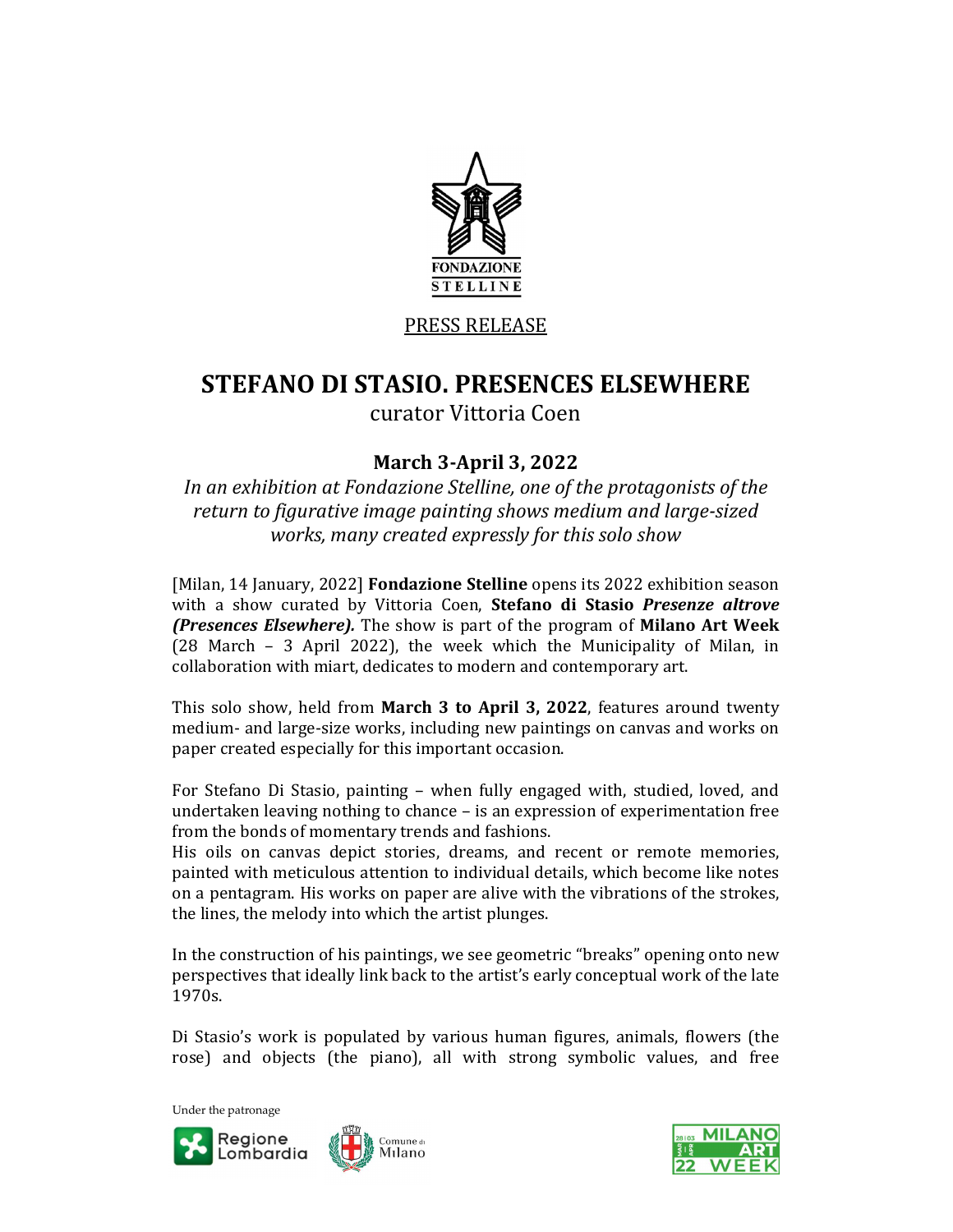

## PRESS RELEASE

# STEFANO DI STASIO. PRESENCES ELSEWHERE

curator Vittoria Coen

# March 3-April 3, 2022

In an exhibition at Fondazione Stelline, one of the protagonists of the return to figurative image painting shows medium and large-sized works, many created expressly for this solo show

[Milan, 14 January, 2022] **Fondazione Stelline** opens its 2022 exhibition season with a show curated by Vittoria Coen, Stefano di Stasio Presenze altrove (Presences Elsewhere). The show is part of the program of Milano Art Week (28 March – 3 April 2022), the week which the Municipality of Milan, in collaboration with miart, dedicates to modern and contemporary art.

This solo show, held from March 3 to April 3, 2022, features around twenty medium- and large-size works, including new paintings on canvas and works on paper created especially for this important occasion.

For Stefano Di Stasio, painting – when fully engaged with, studied, loved, and undertaken leaving nothing to chance – is an expression of experimentation free from the bonds of momentary trends and fashions.

His oils on canvas depict stories, dreams, and recent or remote memories, painted with meticulous attention to individual details, which become like notes on a pentagram. His works on paper are alive with the vibrations of the strokes, the lines, the melody into which the artist plunges.

In the construction of his paintings, we see geometric "breaks" opening onto new perspectives that ideally link back to the artist's early conceptual work of the late 1970s.

Di Stasio's work is populated by various human figures, animals, flowers (the rose) and objects (the piano), all with strong symbolic values, and free

Under the patronage



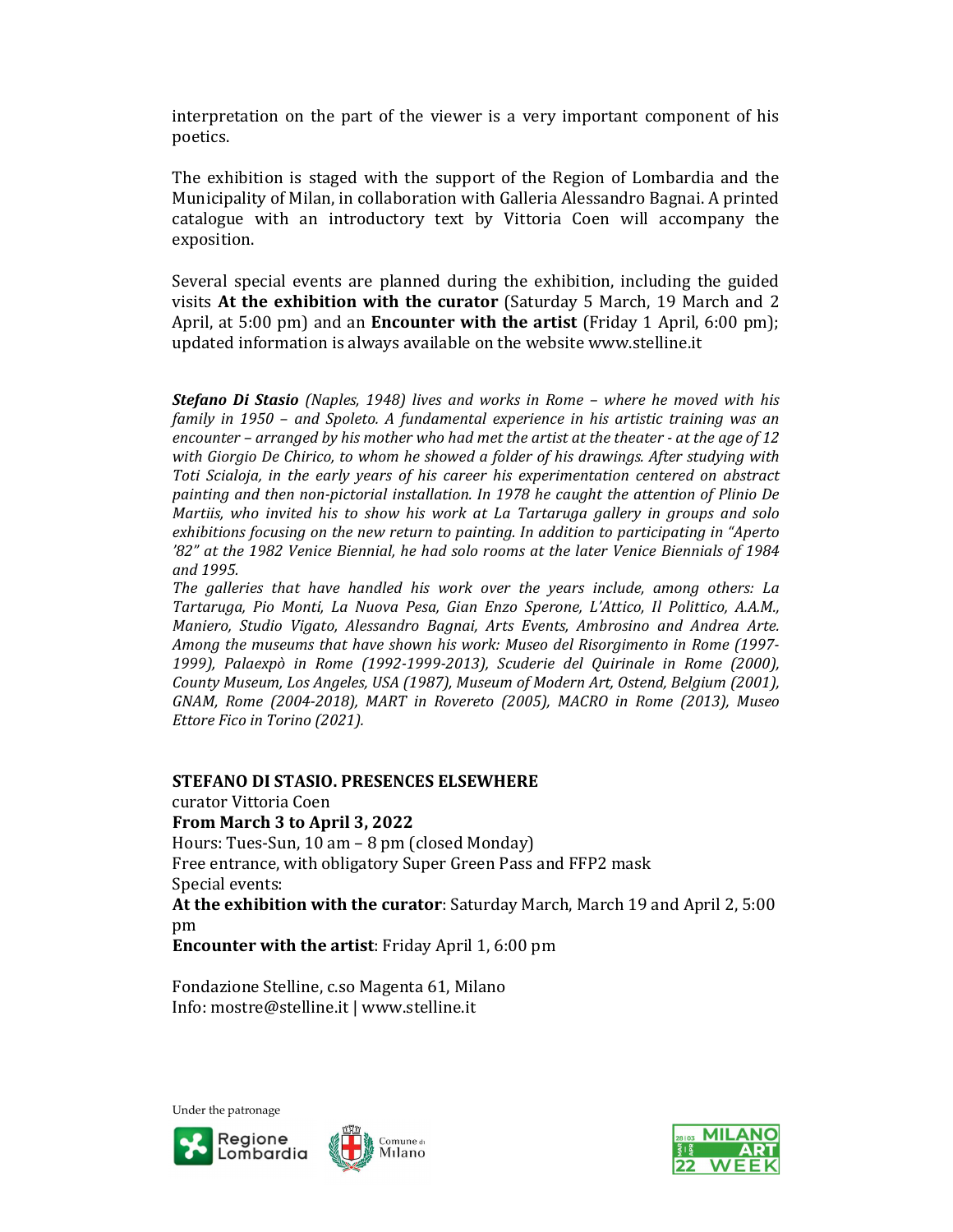interpretation on the part of the viewer is a very important component of his poetics.

The exhibition is staged with the support of the Region of Lombardia and the Municipality of Milan, in collaboration with Galleria Alessandro Bagnai. A printed catalogue with an introductory text by Vittoria Coen will accompany the exposition.

Several special events are planned during the exhibition, including the guided visits At the exhibition with the curator (Saturday 5 March, 19 March and 2 April, at 5:00 pm) and an **Encounter with the artist** (Friday 1 April, 6:00 pm); updated information is always available on the website www.stelline.it

Stefano Di Stasio (Naples, 1948) lives and works in Rome – where he moved with his family in 1950 – and Spoleto. A fundamental experience in his artistic training was an encounter – arranged by his mother who had met the artist at the theater - at the age of 12 with Giorgio De Chirico, to whom he showed a folder of his drawings. After studying with Toti Scialoja, in the early years of his career his experimentation centered on abstract painting and then non-pictorial installation. In 1978 he caught the attention of Plinio De Martiis, who invited his to show his work at La Tartaruga gallery in groups and solo exhibitions focusing on the new return to painting. In addition to participating in "Aperto '82" at the 1982 Venice Biennial, he had solo rooms at the later Venice Biennials of 1984 and 1995.

The galleries that have handled his work over the years include, among others: La Tartaruga, Pio Monti, La Nuova Pesa, Gian Enzo Sperone, L'Attico, Il Polittico, A.A.M., Maniero, Studio Vigato, Alessandro Bagnai, Arts Events, Ambrosino and Andrea Arte. Among the museums that have shown his work: Museo del Risorgimento in Rome (1997- 1999), Palaexpò in Rome (1992-1999-2013), Scuderie del Quirinale in Rome (2000), County Museum, Los Angeles, USA (1987), Museum of Modern Art, Ostend, Belgium (2001), GNAM, Rome (2004-2018), MART in Rovereto (2005), MACRO in Rome (2013), Museo Ettore Fico in Torino (2021).

### STEFANO DI STASIO. PRESENCES ELSEWHERE

curator Vittoria Coen

#### From March 3 to April 3, 2022

Hours: Tues-Sun, 10 am – 8 pm (closed Monday) Free entrance, with obligatory Super Green Pass and FFP2 mask Special events:

At the exhibition with the curator: Saturday March, March 19 and April 2, 5:00 pm

Encounter with the artist: Friday April 1, 6:00 pm

Fondazione Stelline, c.so Magenta 61, Milano Info: mostre@stelline.it | www.stelline.it

Under the patronage